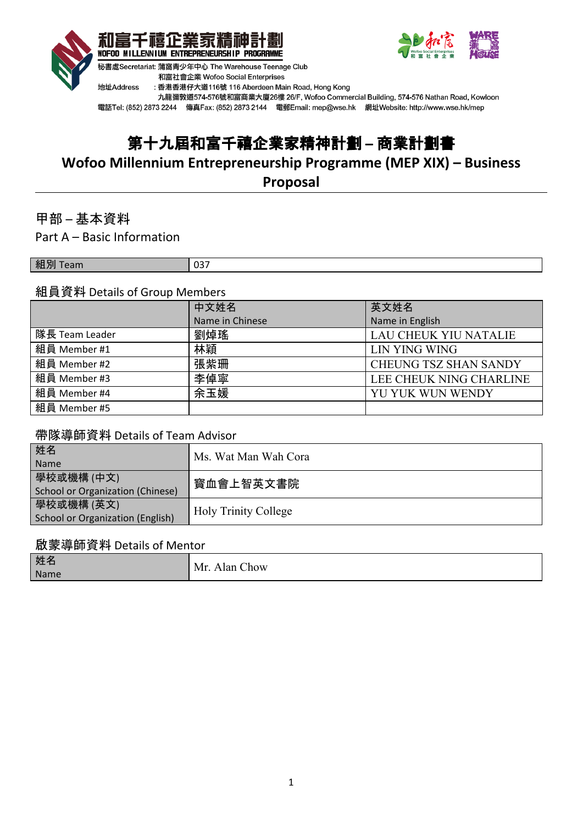



九龍彌敦道574-576號和富商業大廈26樓 26/F, Wofoo Commercial Building, 574-576 Nathan Road, Kowloon 電話Tel: (852) 2873 2244 傳真Fax: (852) 2873 2144 電郵Email: mep@wse.hk 網址Website: http://www.wse.hk/mep

# 第十九屆和富千禧企業家精神計劃 **–** 商業計劃書

**Wofoo Millennium Entrepreneurship Programme (MEP XIX) – Business**

**Proposal**

甲部 – 基本資料

Part A – Basic Information

組別 Team 2007

## 組員資料 Details of Group Members

|                | 中文姓名            | 英文姓名                         |
|----------------|-----------------|------------------------------|
|                | Name in Chinese | Name in English              |
| 隊長 Team Leader | 劉焯瑤             | <b>LAU CHEUK YIU NATALIE</b> |
| 組員 Member #1   | 林穎              | <b>LIN YING WING</b>         |
| 組員 Member #2   | 張紫珊             | <b>CHEUNG TSZ SHAN SANDY</b> |
| 組員 Member #3   | 李倬寧             | LEE CHEUK NING CHARLINE      |
| 組員 Member #4   | 余玉媛             | YU YUK WUN WENDY             |
| 組員 Member #5   |                 |                              |

## 帶隊導師資料 Details of Team Advisor

| 姓名<br>Name                                     | Ms. Wat Man Wah Cora        |
|------------------------------------------------|-----------------------------|
| 學校或機構 (中文)<br>School or Organization (Chinese) | 寳血會上智英文書院                   |
| 學校或機構 (英文)<br>School or Organization (English) | <b>Holy Trinity College</b> |

## 啟蒙導師資料 Details of Mentor

| 姓名   | Mr<br>Jan, |
|------|------------|
| Name | `how       |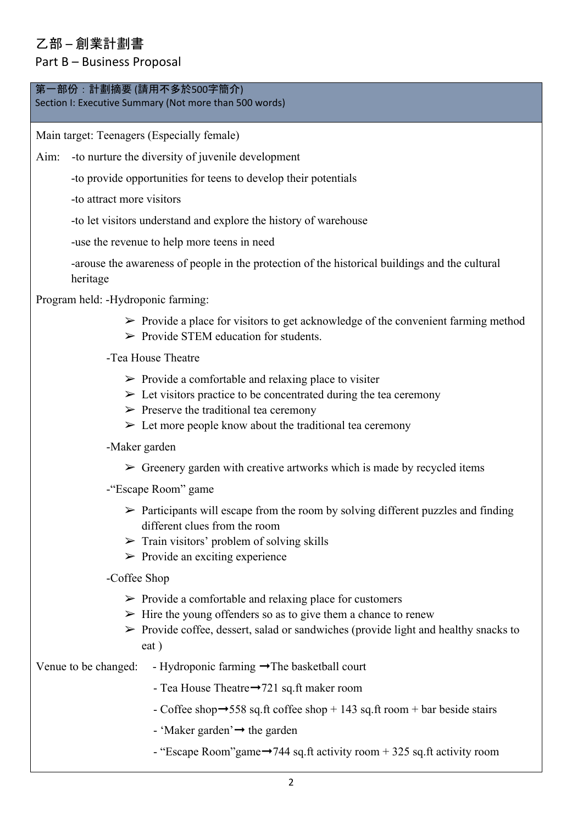## 乙部 – 創業計劃書

## Part B – Business Proposal

## 第一部份:計劃摘要 (請用不多於500字簡介)

Section I: Executive Summary (Not more than 500 words)

Main target: Teenagers (Especially female)

Aim: -to nurture the diversity of juvenile development

-to provide opportunities for teens to develop their potentials

-to attract more visitors

-to let visitors understand and explore the history of warehouse

-use the revenue to help more teens in need

-arouse the awareness of people in the protection of the historical buildings and the cultural heritage

Program held: -Hydroponic farming:

- $\triangleright$  Provide a place for visitors to get acknowledge of the convenient farming method
- $\triangleright$  Provide STEM education for students.

-Tea House Theatre

- $\triangleright$  Provide a comfortable and relaxing place to visiter
- $\triangleright$  Let visitors practice to be concentrated during the tea ceremony
- $\triangleright$  Preserve the traditional tea ceremony
- $\triangleright$  Let more people know about the traditional tea ceremony
- -Maker garden
	- $\triangleright$  Greenery garden with creative artworks which is made by recycled items
- -"Escape Room" game
	- $\triangleright$  Participants will escape from the room by solving different puzzles and finding different clues from the room
	- $\triangleright$  Train visitors' problem of solving skills
	- $\triangleright$  Provide an exciting experience

-Coffee Shop

- $\triangleright$  Provide a comfortable and relaxing place for customers
- $\triangleright$  Hire the young offenders so as to give them a chance to renew
- $\triangleright$  Provide coffee, dessert, salad or sandwiches (provide light and healthy snacks to eat )

Venue to be changed: - Hydroponic farming  $\rightarrow$  The basketball court

- Tea House Theatre➞721 sq.ft maker room
- Coffee shop $\rightarrow$ 558 sq.ft coffee shop + 143 sq.ft room + bar beside stairs
- 'Maker garden' $\rightarrow$  the garden
- $-$  "Escape Room" game  $\rightarrow$  744 sq.ft activity room + 325 sq.ft activity room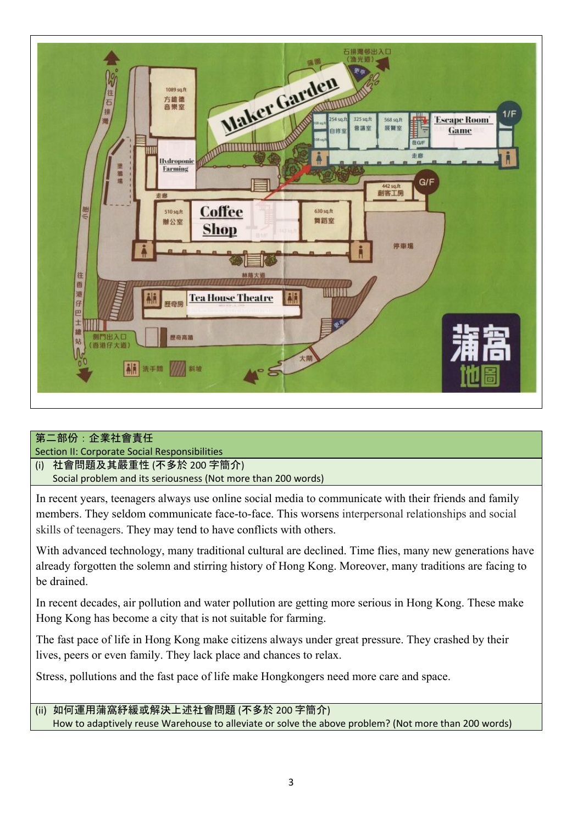

## 第二部份:企業社會責任

Section II: Corporate Social Responsibilities

#### (i) 社會問題及其嚴重性 (不多於 200 字簡介)

Social problem and its seriousness (Not more than 200 words)

In recent years, teenagers always use online social media to communicate with their friends and family members. They seldom communicate face-to-face. This worsens interpersonal relationships and social skills of teenagers. They may tend to have conflicts with others.

With advanced technology, many traditional cultural are declined. Time flies, many new generations have already forgotten the solemn and stirring history of Hong Kong. Moreover, many traditions are facing to be drained.

In recent decades, air pollution and water pollution are getting more serious in Hong Kong. These make Hong Kong has become a city that is not suitable for farming.

The fast pace of life in Hong Kong make citizens always under great pressure. They crashed by their lives, peers or even family. They lack place and chances to relax.

Stress, pollutions and the fast pace of life make Hongkongers need more care and space.

#### (ii) 如何運用蒲窩紓緩或解決上述社會問題 (不多於 200 字簡介) How to adaptively reuse Warehouse to alleviate or solve the above problem? (Not more than 200 words)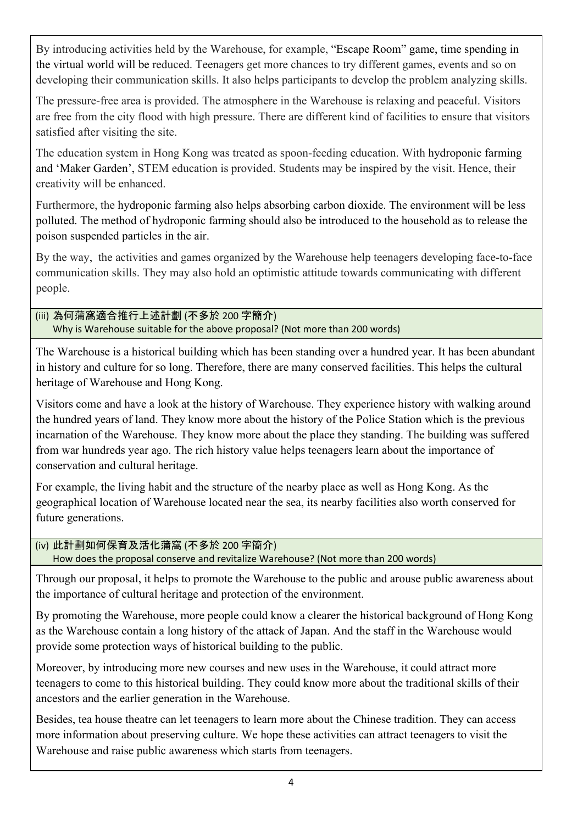By introducing activities held by the Warehouse, for example, "Escape Room" game, time spending in the virtual world will be reduced. Teenagers get more chances to try different games, events and so on developing their communication skills. It also helps participants to develop the problem analyzing skills.

The pressure-free area is provided. The atmosphere in the Warehouse is relaxing and peaceful. Visitors are free from the city flood with high pressure. There are different kind of facilities to ensure that visitors satisfied after visiting the site.

The education system in Hong Kong was treated as spoon-feeding education. With hydroponic farming and 'Maker Garden', STEM education is provided. Students may be inspired by the visit. Hence, their creativity will be enhanced.

Furthermore, the hydroponic farming also helps absorbing carbon dioxide. The environment will be less polluted. The method of hydroponic farming should also be introduced to the household as to release the poison suspended particles in the air.

By the way, the activities and games organized by the Warehouse help teenagers developing face-to-face communication skills. They may also hold an optimistic attitude towards communicating with different people.

(iii) 為何蒲窩適合推行上述計劃 (不多於 200 字簡介) Why is Warehouse suitable for the above proposal? (Not more than 200 words)

The Warehouse is a historical building which has been standing over a hundred year. It has been abundant in history and culture for so long. Therefore, there are many conserved facilities. This helps the cultural heritage of Warehouse and Hong Kong.

Visitors come and have a look at the history of Warehouse. They experience history with walking around the hundred years of land. They know more about the history of the Police Station which is the previous incarnation of the Warehouse. They know more about the place they standing. The building was suffered from war hundreds year ago. The rich history value helps teenagers learn about the importance of conservation and cultural heritage.

For example, the living habit and the structure of the nearby place as well as Hong Kong. As the geographical location of Warehouse located near the sea, its nearby facilities also worth conserved for future generations.

#### (iv) 此計劃如何保育及活化蒲窩 (不多於 200 字簡介) How does the proposal conserve and revitalize Warehouse? (Not more than 200 words)

Through our proposal, it helps to promote the Warehouse to the public and arouse public awareness about the importance of cultural heritage and protection of the environment.

By promoting the Warehouse, more people could know a clearer the historical background of Hong Kong as the Warehouse contain a long history of the attack of Japan. And the staff in the Warehouse would provide some protection ways of historical building to the public.

Moreover, by introducing more new courses and new uses in the Warehouse, it could attract more teenagers to come to this historical building. They could know more about the traditional skills of their ancestors and the earlier generation in the Warehouse.

Besides, tea house theatre can let teenagers to learn more about the Chinese tradition. They can access more information about preserving culture. We hope these activities can attract teenagers to visit the Warehouse and raise public awareness which starts from teenagers.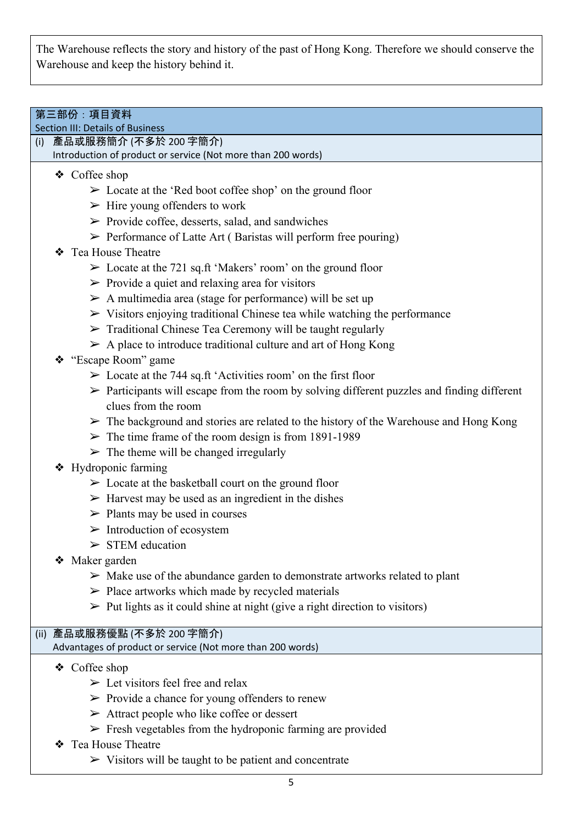The Warehouse reflects the story and history of the past of Hong Kong. Therefore we should conserve the Warehouse and keep the history behind it.

## 第三部份:項目資料

Section III: Details of Business

(i) 產品或服務簡介 (不多於 200 字簡介)

Introduction of product or service (Not more than 200 words)

## ❖ Coffee shop

- $\geq$  Locate at the 'Red boot coffee shop' on the ground floor
- $\triangleright$  Hire young offenders to work
- $\triangleright$  Provide coffee, desserts, salad, and sandwiches
- ➢ Performance of Latte Art ( Baristas will perform free pouring)
- ❖ Tea House Theatre
	- $\geq$  Locate at the 721 sq.ft 'Makers' room' on the ground floor
	- $\triangleright$  Provide a quiet and relaxing area for visitors
	- $\triangleright$  A multimedia area (stage for performance) will be set up
	- $\triangleright$  Visitors enjoying traditional Chinese tea while watching the performance
	- $\triangleright$  Traditional Chinese Tea Ceremony will be taught regularly
	- $\triangleright$  A place to introduce traditional culture and art of Hong Kong
- ❖ "Escape Room" game
	- $\geq$  Locate at the 744 sq.ft 'Activities room' on the first floor
	- ➢ Participants will escape from the room by solving different puzzles and finding different clues from the room
	- $\triangleright$  The background and stories are related to the history of the Warehouse and Hong Kong
	- $\geq$  The time frame of the room design is from 1891-1989
	- $\triangleright$  The theme will be changed irregularly
- ❖ Hydroponic farming
	- $\triangleright$  Locate at the basketball court on the ground floor
	- $\triangleright$  Harvest may be used as an ingredient in the dishes
	- $\triangleright$  Plants may be used in courses
	- $\triangleright$  Introduction of ecosystem
	- $>$  STEM education
- ❖ Maker garden
	- $\triangleright$  Make use of the abundance garden to demonstrate artworks related to plant
	- $\triangleright$  Place artworks which made by recycled materials
	- $\triangleright$  Put lights as it could shine at night (give a right direction to visitors)

#### (ii) 產品或服務優點 (不多於 200 字簡介)

## Advantages of product or service (Not more than 200 words)

- ❖ Coffee shop
	- $\triangleright$  Let visitors feel free and relax
	- $\triangleright$  Provide a chance for young offenders to renew
	- $\triangleright$  Attract people who like coffee or dessert
	- $\triangleright$  Fresh vegetables from the hydroponic farming are provided
- ❖ Tea House Theatre
	- $\triangleright$  Visitors will be taught to be patient and concentrate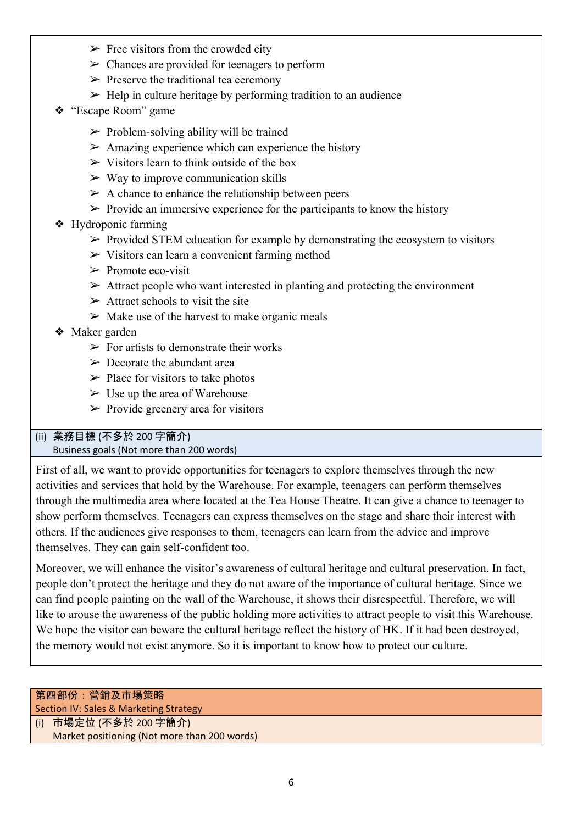- $\triangleright$  Free visitors from the crowded city
- $\triangleright$  Chances are provided for teenagers to perform
- $\triangleright$  Preserve the traditional tea ceremony
- $\triangleright$  Help in culture heritage by performing tradition to an audience
- ❖ "Escape Room" game
	- $\triangleright$  Problem-solving ability will be trained
	- $\triangleright$  Amazing experience which can experience the history
	- $\triangleright$  Visitors learn to think outside of the box
	- $\triangleright$  Way to improve communication skills
	- $\triangleright$  A chance to enhance the relationship between peers
	- $\triangleright$  Provide an immersive experience for the participants to know the history
- ❖ Hydroponic farming
	- $\triangleright$  Provided STEM education for example by demonstrating the ecosystem to visitors
	- ➢ Visitors can learn a convenient farming method
	- $\triangleright$  Promote eco-visit
	- $\triangleright$  Attract people who want interested in planting and protecting the environment
	- $\triangleright$  Attract schools to visit the site
	- $\triangleright$  Make use of the harvest to make organic meals
- ❖ Maker garden
	- $\triangleright$  For artists to demonstrate their works
	- $\triangleright$  Decorate the abundant area
	- $\triangleright$  Place for visitors to take photos
	- $\triangleright$  Use up the area of Warehouse
	- $\triangleright$  Provide greenery area for visitors

#### (ii) 業務目標 (不多於 200 字簡介) Business goals (Not more than 200 words)

First of all, we want to provide opportunities for teenagers to explore themselves through the new activities and services that hold by the Warehouse. For example, teenagers can perform themselves through the multimedia area where located at the Tea House Theatre. It can give a chance to teenager to show perform themselves. Teenagers can express themselves on the stage and share their interest with others. If the audiences give responses to them, teenagers can learn from the advice and improve themselves. They can gain self-confident too.

Moreover, we will enhance the visitor's awareness of cultural heritage and cultural preservation. In fact, people don't protect the heritage and they do not aware of the importance of cultural heritage. Since we can find people painting on the wall of the Warehouse, it shows their disrespectful. Therefore, we will like to arouse the awareness of the public holding more activities to attract people to visit this Warehouse. We hope the visitor can beware the cultural heritage reflect the history of HK. If it had been destroyed, the memory would not exist anymore. So it is important to know how to protect our culture.

## 第四部份:營銷及市場策略 Section IV: Sales & Marketing Strategy (i) 市場定位 (不多於 200 字簡介)

Market positioning (Not more than 200 words)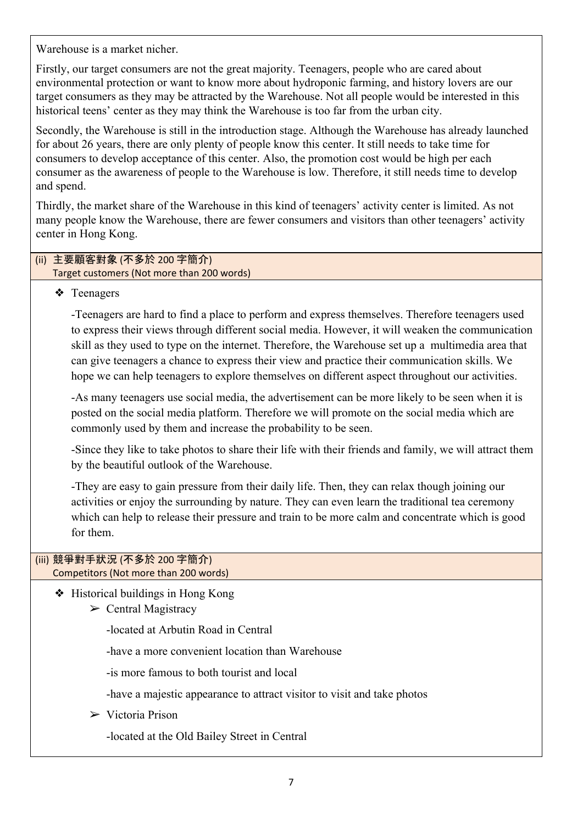Warehouse is a market nicher.

Firstly, our target consumers are not the great majority. Teenagers, people who are cared about environmental protection or want to know more about hydroponic farming, and history lovers are our target consumers as they may be attracted by the Warehouse. Not all people would be interested in this historical teens' center as they may think the Warehouse is too far from the urban city.

Secondly, the Warehouse is still in the introduction stage. Although the Warehouse has already launched for about 26 years, there are only plenty of people know this center. It still needs to take time for consumers to develop acceptance of this center. Also, the promotion cost would be high per each consumer as the awareness of people to the Warehouse is low. Therefore, it still needs time to develop and spend.

Thirdly, the market share of the Warehouse in this kind of teenagers' activity center is limited. As not many people know the Warehouse, there are fewer consumers and visitors than other teenagers' activity center in Hong Kong.

#### (ii) 主要顧客對象 (不多於 200 字簡介) Target customers (Not more than 200 words)

## ❖ Teenagers

-Teenagers are hard to find a place to perform and express themselves. Therefore teenagers used to express their views through different social media. However, it will weaken the communication skill as they used to type on the internet. Therefore, the Warehouse set up a multimedia area that can give teenagers a chance to express their view and practice their communication skills. We hope we can help teenagers to explore themselves on different aspect throughout our activities.

-As many teenagers use social media, the advertisement can be more likely to be seen when it is posted on the social media platform. Therefore we will promote on the social media which are commonly used by them and increase the probability to be seen.

-Since they like to take photos to share their life with their friends and family, we will attract them by the beautiful outlook of the Warehouse.

-They are easy to gain pressure from their daily life. Then, they can relax though joining our activities or enjoy the surrounding by nature. They can even learn the traditional tea ceremony which can help to release their pressure and train to be more calm and concentrate which is good for them.

#### (iii) 競爭對手狀況 (不多於 200 字簡介) Competitors (Not more than 200 words)

❖ Historical buildings in Hong Kong

 $\triangleright$  Central Magistracy

-located at Arbutin Road in Central

-have a more convenient location than Warehouse

-is more famous to both tourist and local

-have a majestic appearance to attract visitor to visit and take photos

 $\triangleright$  Victoria Prison

-located at the Old Bailey Street in Central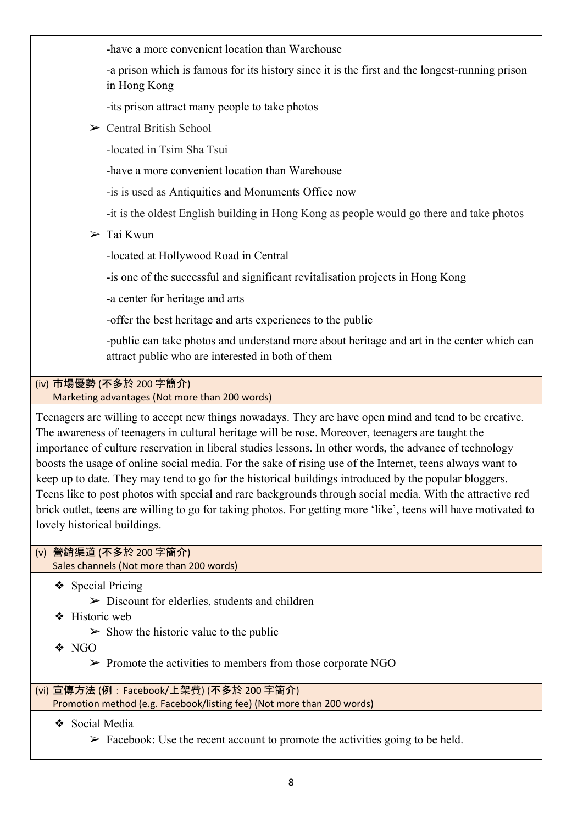-have a more convenient location than Warehouse

-a prison which is famous for its history since it is the first and the longest-running prison in Hong Kong

-its prison attract many people to take photos

 $\triangleright$  Central British School

-located in Tsim Sha Tsui

-have a more convenient location than Warehouse

-is is used as Antiquities and Monuments Office now

-it is the oldest English building in Hong Kong as people would go there and take photos

 $\sum$  Tai Kwun

-located at Hollywood Road in Central

-is one of the successful and significant revitalisation projects in Hong Kong

-a center for heritage and arts

-offer the best heritage and arts experiences to the public

-public can take photos and understand more about heritage and art in the center which can attract public who are interested in both of them

## (iv) 市場優勢 (不多於 200 字簡介)

Marketing advantages (Not more than 200 words)

Teenagers are willing to accept new things nowadays. They are have open mind and tend to be creative. The awareness of teenagers in cultural heritage will be rose. Moreover, teenagers are taught the importance of culture reservation in liberal studies lessons. In other words, the advance of technology boosts the usage of online social media. For the sake of rising use of the Internet, teens always want to keep up to date. They may tend to go for the historical buildings introduced by the popular bloggers. Teens like to post photos with special and rare backgrounds through social media. With the attractive red brick outlet, teens are willing to go for taking photos. For getting more 'like', teens will have motivated to lovely historical buildings.

## (v) 營銷渠道 (不多於 200 字簡介)

Sales channels (Not more than 200 words)

❖ Special Pricing

- $\triangleright$  Discount for elderlies, students and children
- ❖ Historic web
	- $\geq$  Show the historic value to the public
- ❖ NGO
	- $\triangleright$  Promote the activities to members from those corporate NGO

(vi) 宣傳方法 (例:Facebook/上架費) (不多於 200 字簡介) Promotion method (e.g. Facebook/listing fee) (Not more than 200 words)

❖ Social Media

 $\triangleright$  Facebook: Use the recent account to promote the activities going to be held.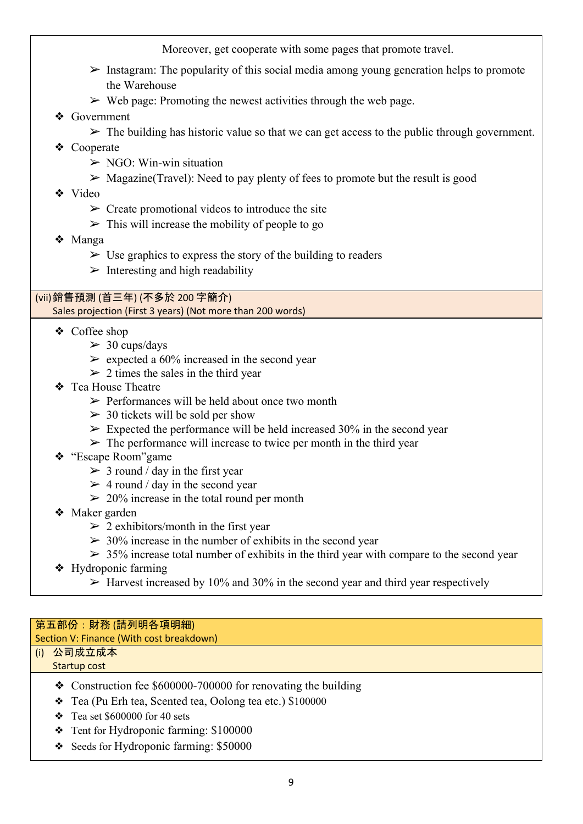Moreover, get cooperate with some pages that promote travel.

- $\triangleright$  Instagram: The popularity of this social media among young generation helps to promote the Warehouse
- $\triangleright$  Web page: Promoting the newest activities through the web page.
- ❖ Government
	- $\triangleright$  The building has historic value so that we can get access to the public through government.
- ❖ Cooperate
	- $\triangleright$  NGO: Win-win situation
	- $\triangleright$  Magazine(Travel): Need to pay plenty of fees to promote but the result is good
- ❖ Video
	- $\triangleright$  Create promotional videos to introduce the site
	- $\triangleright$  This will increase the mobility of people to go
- ❖ Manga
	- $\triangleright$  Use graphics to express the story of the building to readers
	- $\triangleright$  Interesting and high readability

#### (vii)銷售預測 (首三年) (不多於 200 字簡介) Sales projection (First 3 years) (Not more than 200 words)

- ❖ Coffee shop
	- $> 30$  cups/days
	- $\ge$  expected a 60% increased in the second year
	- $> 2$  times the sales in the third year
- ❖ Tea House Theatre
	- $\triangleright$  Performances will be held about once two month
	- $\geq$  30 tickets will be sold per show
	- $\triangleright$  Expected the performance will be held increased 30% in the second year
	- $\triangleright$  The performance will increase to twice per month in the third year
- ❖ "Escape Room"game
	- $> 3$  round / day in the first year
	- $>$  4 round / day in the second year
	- $\geq 20\%$  increase in the total round per month
- ❖ Maker garden
	- $\geq$  2 exhibitors/month in the first year
	- $>$  30% increase in the number of exhibits in the second year
	- $>$  35% increase total number of exhibits in the third year with compare to the second year
- ❖ Hydroponic farming
	- $\triangleright$  Harvest increased by 10% and 30% in the second year and third year respectively

## 第五部份:財務 (請列明各項明細)

## Section V: Finance (With cost breakdown)

#### (i) 公司成立成本 Startup cost

- ❖ Construction fee \$600000-700000 for renovating the building
- ❖ Tea (Pu Erh tea, Scented tea, Oolong tea etc.) \$100000
- $\div$  Tea set \$600000 for 40 sets
- ❖ Tent for Hydroponic farming: \$100000
- ❖ Seeds for Hydroponic farming: \$50000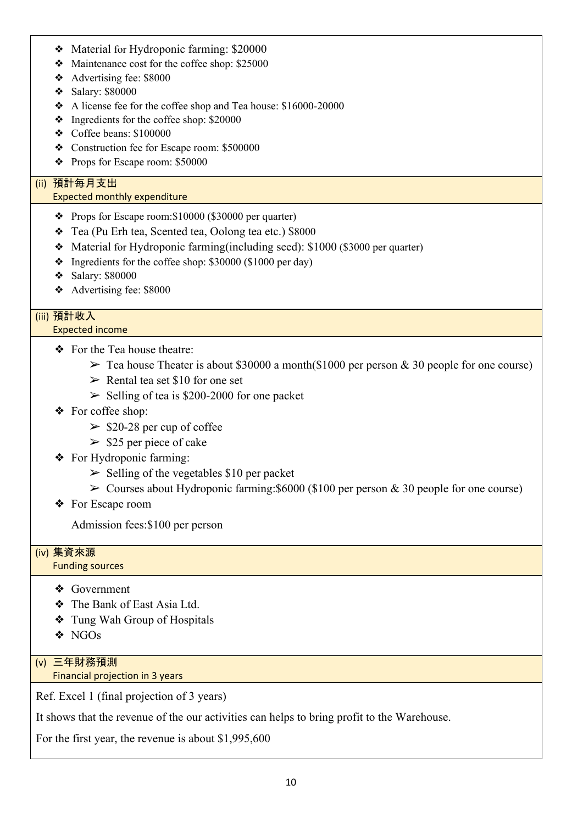- ❖ Material for Hydroponic farming: \$20000
- ❖ Maintenance cost for the coffee shop: \$25000
- ❖ Advertising fee: \$8000
- ❖ Salary: \$80000
- ❖ A license fee for the coffee shop and Tea house: \$16000-20000
- ❖ Ingredients for the coffee shop: \$20000
- ❖ Coffee beans: \$100000
- ❖ Construction fee for Escape room: \$500000
- ❖ Props for Escape room: \$50000

## (ii) 預計每月支出

#### Expected monthly expenditure

- ❖ Props for Escape room:\$10000 (\$30000 per quarter)
- ❖ Tea (Pu Erh tea, Scented tea, Oolong tea etc.) \$8000
- ❖ Material for Hydroponic farming(including seed): \$1000 (\$3000 per quarter)
- ❖ Ingredients for the coffee shop: \$30000 (\$1000 per day)
- ❖ Salary: \$80000
- ❖ Advertising fee: \$8000

## (iii) 預計收入

#### Expected income

- ❖ For the Tea house theatre:
	- $\geq$  Tea house Theater is about \$30000 a month(\$1000 per person & 30 people for one course)
	- $\triangleright$  Rental tea set \$10 for one set
	- $\geq$  Selling of tea is \$200-2000 for one packet
- ❖ For coffee shop:
	- $\ge$  \$20-28 per cup of coffee
	- $\ge$  \$25 per piece of cake
- ❖ For Hydroponic farming:
	- $\geq$  Selling of the vegetables \$10 per packet
	- $\geq$  Courses about Hydroponic farming: \$6000 (\$100 per person & 30 people for one course)
- ❖ For Escape room

Admission fees:\$100 per person

#### (iv) 集資來源

#### Funding sources

- ❖ Government
- ❖ The Bank of East Asia Ltd.
- ❖ Tung Wah Group of Hospitals
- ❖ NGOs

## (v) 三年財務預測

## Financial projection in 3 years

Ref. Excel 1 (final projection of 3 years)

It shows that the revenue of the our activities can helps to bring profit to the Warehouse.

For the first year, the revenue is about \$1,995,600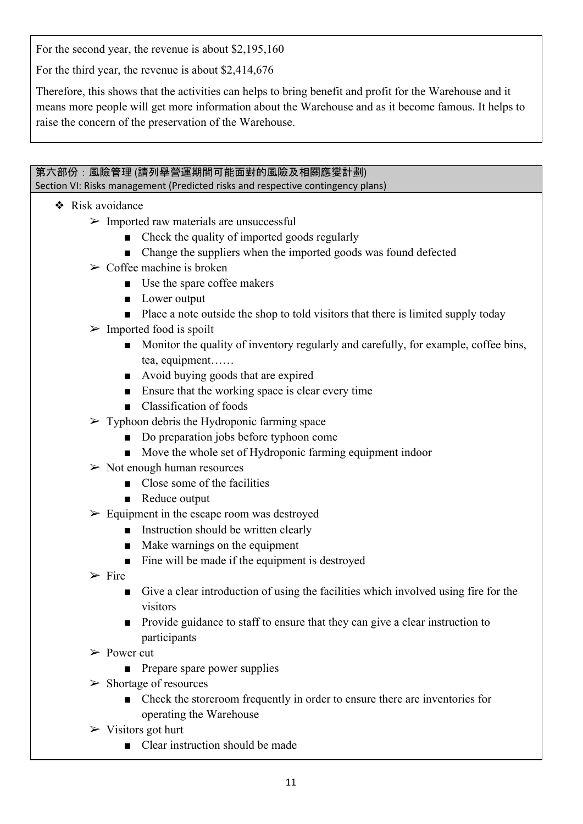For the second year, the revenue is about \$2,195,160

For the third year, the revenue is about \$2,414,676

Therefore, this shows that the activities can helps to bring benefit and profit for the Warehouse and it means more people will get more information about the Warehouse and as it become famous. It helps to raise the concern of the preservation of the Warehouse.

## 第六部份:風險管理 (請列舉營運期間可能面對的風險及相關應變計劃)

Section VI: Risks management (Predicted risks and respective contingency plans)

- ❖ Risk avoidance
	- $\triangleright$  Imported raw materials are unsuccessful
		- Check the quality of imported goods regularly
		- Change the suppliers when the imported goods was found defected
	- $\geq$  Coffee machine is broken
		- Use the spare coffee makers
		- Lower output
		- Place a note outside the shop to told visitors that there is limited supply today
	- $\triangleright$  Imported food is spoilt
		- Monitor the quality of inventory regularly and carefully, for example, coffee bins, tea, equipment……
		- Avoid buying goods that are expired
		- Ensure that the working space is clear every time
		- Classification of foods
	- $\triangleright$  Typhoon debris the Hydroponic farming space
		- Do preparation jobs before typhoon come
		- Move the whole set of Hydroponic farming equipment indoor
	- $\triangleright$  Not enough human resources
		- Close some of the facilities
		- Reduce output
	- $\triangleright$  Equipment in the escape room was destroyed
		- Instruction should be written clearly
		- Make warnings on the equipment
		- Fine will be made if the equipment is destroyed
	- $\triangleright$  Fire
		- Give a clear introduction of using the facilities which involved using fire for the visitors
		- Provide guidance to staff to ensure that they can give a clear instruction to participants
	- ➢ Power cut
		- Prepare spare power supplies
	- $\triangleright$  Shortage of resources
		- Check the storeroom frequently in order to ensure there are inventories for operating the Warehouse
	- $\triangleright$  Visitors got hurt
		- Clear instruction should be made